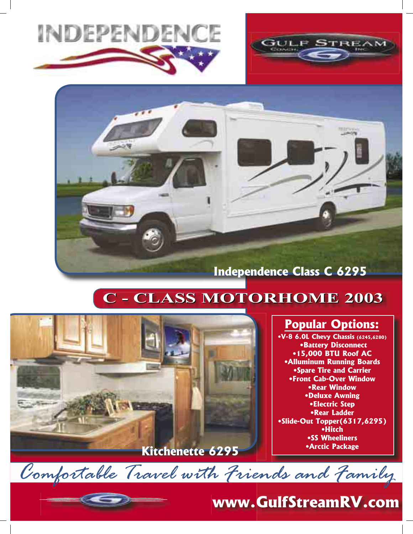



## **C - CLASS MOTORHOME 2003 C - CLASS MOTORHOME 2003**



### **Popular Options:**

**•V-8 6.0L Chevy Chassis (6245,6280) •Battery Disconnect •15,000 BTU Roof AC •Alluminum Running Boards •Spare Tire and Carrier •Front Cab-Over Window •Rear Window •Deluxe Awning •Electric Step •Rear Ladder •Slide-Out Topper(6317,6295) •Hitch •SS Wheeliners •Arctic Package**

**www.GulfStreamRV.com**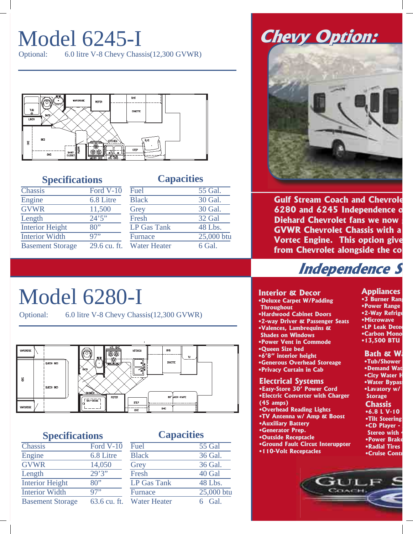# Model 6245-I

Optional: 6.0 litre V-8 Chevy Chassis(12,300 GVWR)



#### **Specifications Capacities**

5 Gal.

| <b>Chassis</b>          | Ford $V-10$  | Fuel                | 55 Gal.    |
|-------------------------|--------------|---------------------|------------|
| Engine                  | 6.8 Litre    | <b>Black</b>        | 30 Gal.    |
| <b>GVWR</b>             | 11,500       | Grey                | 30 Gal.    |
| Length                  | 24'5''       | Fresh               | 32 Gal     |
| <b>Interior Height</b>  | 80"          | <b>LP Gas Tank</b>  | 48 Lbs.    |
| <b>Interior Width</b>   | 97"          | <b>Furnace</b>      | 25,000 btu |
| <b>Basement Storage</b> | 29.6 cu. ft. | <b>Water Heater</b> | 6 Gal.     |

## **Chevy Option: Chevy Option:**



**Gulf Stream Coach and Chevrole 6280 and 6245 Independence o Diehard Chevrolet fans we now g GVWR Chevrolet Chassis with a Vortec Engine. This option give from Chevrolet alongside the com**

## **Independence S**

# Model 6280-I

Optional: 6.0 litre V-8 Chevy Chassis(12,300 GVWR)



#### **Specifications Capacities**

| Chassis                 | Ford V-10    |
|-------------------------|--------------|
| Engine                  | 6.8 Litre    |
| <b>GVWR</b>             | 14,050       |
| Length                  | 29'3''       |
| <b>Interior Height</b>  | 80"          |
| <b>Interior Width</b>   | 97"          |
| <b>Basement Storage</b> | 63.6 cu. ft. |

| Fuel               | $\overline{55}$ Gal |
|--------------------|---------------------|
| <b>Black</b>       | 36 Gal.             |
| Grey               | 36 Gal.             |
| Fresh              | 40 Gal              |
| <b>LP Gas Tank</b> | 48 Lbs.             |
| Furnace            | 25,000 btu          |
| Water Heater       | $6$ Gal             |

**Electrical Systems •Easy-Store 30' Power Cord •Electric Converter with Charger (45 amps) •Overhead Reading Lights •TV Antenna w/ Amp & Boost Bath & Wa •Tub/Shower •Demand Wat •City Water H •Water Bypass •Lavatory w/ Storage Appliances •3 Burner Rang •Power Range •2-Way Refrige •Microwave •LP Leak Detec •Carbon Mono •13,500 BTU Chassis •6.8 L V-10 •Tilt Steering Interior & Decor •Deluxe Carpet W/Padding Throughout •Hardwood Cabinet Doors •2-way Driver & Passenger Seats •Valences, Lambrequins & Shades on Windows •Power Vent in Commode •Queen Size bed •6'8" interior height •Generous Overhead Storeage •Privacy Curtain in Cab**

- **•Auxiliary Battery •Generator Prep.**
- **•Outside Receptacle**
- **•Ground Fault Circut Interuppter**
- **•110-Volt Receptacles**



**•CD Player -Stereo with •Power Brake •Radial Tires •Cruise Contr**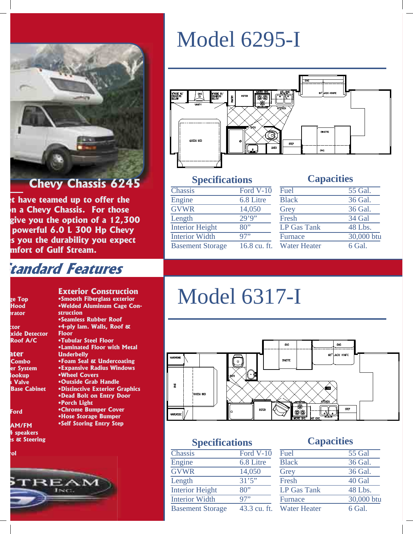

**et have teamed up to offer the on a Chevy Chassis. For those give you the option of a 12,300 powerful 6.0 L 300 Hp Chevy es you the durability you expect mfort of Gulf Stream.** 

> **Exterior Construction •Smooth Fiberglass exterior •Welded Aluminum Cage Con-**

**•Laminated Floor with Metal** 

**•Foam Seal & Undercoating •Expansive Radius Windows**

**•Chrome Bumper Cover •Hose Storage Bumper •Self Storing Entry Step**

**•Seamless Rubber Roof •4-ply lam. Walls, Roof &** 

**•Tubular Steel Floor**

### **tandard Features**

**struction**

**Underbelly**

**•Wheel Covers •Outside Grab Handle •Distinctive Exterior Graphics •Dead Bolt on Entry Door**

**•Porch Light** 

**Floor**

| ge Top |
|--------|
|        |
| Hood   |
| erator |

**ctor xide Detector Roof A/C**

**ater Combo er System Hookup s Valve Base Cabinet** 

**Ford** 

**AM/FM 4 speakers es & Steering**

**rol**  $E_{\rm AM}$ 

# Model 6295-I



### **Specifications Capacities**

| Chassis                 | Ford V-10           |
|-------------------------|---------------------|
| Engine                  | 6.8 Litre           |
| <b>GVWR</b>             | 14,050              |
| Length                  | $\overline{29'9''}$ |
| <b>Interior Height</b>  | 80"                 |
| <b>Interior Width</b>   | 97"                 |
| <b>Basement Storage</b> | 16.8 cu. ft.        |
|                         |                     |

| <b>Black</b><br>36 Gal. |
|-------------------------|
|                         |
| 36 Gal.<br>Grey         |
| 34 Gal<br>Fresh         |
| 48 Lbs.<br>LP Gas Tank  |
| 30,000 btu<br>Furnace   |
| Water Heater<br>6 Gal.  |

# Model 6317-I



#### **Specifications Capacities**

| Chassis                 | Ford $V-10$  |
|-------------------------|--------------|
| Engine                  | 6.8 Litre    |
| <b>GVWR</b>             | 14,050       |
| Length                  | 31'5''       |
| <b>Interior Height</b>  | 80"          |
| <b>Interior Width</b>   | 97"          |
| <b>Basement Storage</b> | 43.3 cu. ft. |
|                         |              |

| Fuel                | <b>55 Gal</b> |
|---------------------|---------------|
| <b>Black</b>        | 36 Gal.       |
| Grey                | 36 Gal.       |
| Fresh               | 40 Gal        |
| <b>LP Gas Tank</b>  | 48 Lbs.       |
| <b>Furnace</b>      | 30,000 btu    |
| <b>Water Heater</b> | 6 Gal.        |
|                     |               |